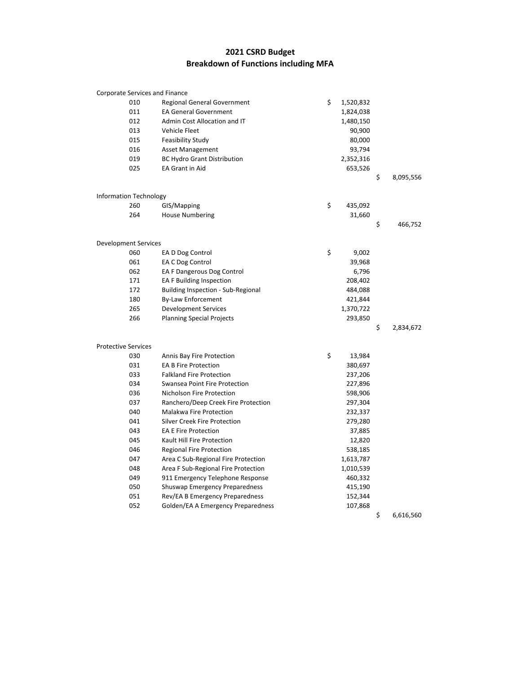## **2021 CSRD Budget Breakdown of Functions including MFA**

| Corporate Services and Finance |                                     |                 |                 |
|--------------------------------|-------------------------------------|-----------------|-----------------|
| 010                            | <b>Regional General Government</b>  | \$<br>1,520,832 |                 |
| 011                            | <b>EA General Government</b>        | 1,824,038       |                 |
| 012                            | Admin Cost Allocation and IT        | 1,480,150       |                 |
| 013                            | Vehicle Fleet                       | 90,900          |                 |
| 015                            | <b>Feasibility Study</b>            | 80,000          |                 |
| 016                            | <b>Asset Management</b>             | 93,794          |                 |
| 019                            | <b>BC Hydro Grant Distribution</b>  | 2,352,316       |                 |
| 025                            | EA Grant in Aid                     | 653,526         |                 |
|                                |                                     |                 | \$<br>8,095,556 |
| Information Technology         |                                     |                 |                 |
| 260                            | GIS/Mapping                         | \$<br>435,092   |                 |
| 264                            | <b>House Numbering</b>              | 31,660          |                 |
|                                |                                     |                 | \$<br>466,752   |
| <b>Development Services</b>    |                                     |                 |                 |
| 060                            | EA D Dog Control                    | \$<br>9,002     |                 |
| 061                            | EA C Dog Control                    | 39,968          |                 |
| 062                            | EA F Dangerous Dog Control          | 6,796           |                 |
| 171                            | EA F Building Inspection            | 208,402         |                 |
| 172                            | Building Inspection - Sub-Regional  | 484,088         |                 |
| 180                            | By-Law Enforcement                  | 421,844         |                 |
| 265                            | <b>Development Services</b>         | 1,370,722       |                 |
| 266                            | <b>Planning Special Projects</b>    | 293,850         |                 |
|                                |                                     |                 | \$<br>2,834,672 |
| <b>Protective Services</b>     |                                     |                 |                 |
| 030                            | Annis Bay Fire Protection           | \$<br>13,984    |                 |
| 031                            | <b>EA B Fire Protection</b>         | 380,697         |                 |
| 033                            | <b>Falkland Fire Protection</b>     | 237,206         |                 |
| 034                            | Swansea Point Fire Protection       | 227,896         |                 |
| 036                            | Nicholson Fire Protection           | 598,906         |                 |
| 037                            | Ranchero/Deep Creek Fire Protection | 297,304         |                 |
| 040                            | Malakwa Fire Protection             | 232,337         |                 |
| 041                            | Silver Creek Fire Protection        | 279,280         |                 |
| 043                            | <b>EA E Fire Protection</b>         | 37,885          |                 |
| 045                            | Kault Hill Fire Protection          | 12,820          |                 |
| 046                            | Regional Fire Protection            | 538,185         |                 |
| 047                            | Area C Sub-Regional Fire Protection | 1,613,787       |                 |
| 048                            | Area F Sub-Regional Fire Protection | 1,010,539       |                 |
| 049                            | 911 Emergency Telephone Response    | 460,332         |                 |
| 050                            | Shuswap Emergency Preparedness      | 415,190         |                 |
| 051                            | Rev/EA B Emergency Preparedness     | 152,344         |                 |
| 052                            | Golden/EA A Emergency Preparedness  | 107,868         |                 |
|                                |                                     |                 | \$<br>6,616,560 |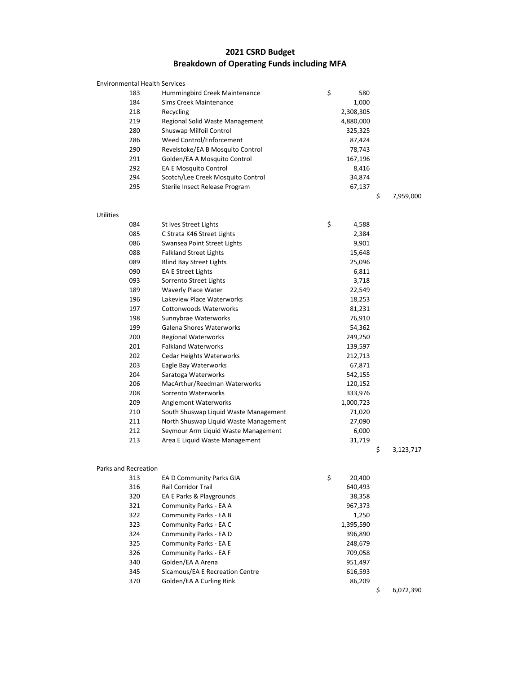## **2021 CSRD Budget Breakdown of Operating Funds including MFA**

| <b>Environmental Health Services</b> |                                   |           |           |
|--------------------------------------|-----------------------------------|-----------|-----------|
| 183                                  | Hummingbird Creek Maintenance     | \$<br>580 |           |
| 184                                  | Sims Creek Maintenance            | 1,000     |           |
| 218                                  | Recycling                         | 2,308,305 |           |
| 219                                  | Regional Solid Waste Management   | 4,880,000 |           |
| 280                                  | Shuswap Milfoil Control           | 325,325   |           |
| 286                                  | Weed Control/Enforcement          | 87,424    |           |
| 290                                  | Revelstoke/EA B Mosquito Control  | 78,743    |           |
| 291                                  | Golden/EA A Mosquito Control      | 167,196   |           |
| 292                                  | <b>EA E Mosquito Control</b>      | 8.416     |           |
| 294                                  | Scotch/Lee Creek Mosquito Control | 34,874    |           |
| 295                                  | Sterile Insect Release Program    | 67,137    |           |
|                                      |                                   |           | 7.959.000 |

Utilities

086 Swansea Point Street Lights<br>088 Falkland Street Lights

084 St Ives Street Lights **4,588** 085 C Strata K46 Street Lights 2,384 Falkland Street Lights 15,648 089 Blind Bay Street Lights 25,096 090 EA E Street Lights 6,811

| 093 | Sorrento Street Lights                | 3,718     |                 |
|-----|---------------------------------------|-----------|-----------------|
| 189 | Waverly Place Water                   | 22,549    |                 |
| 196 | Lakeview Place Waterworks             | 18,253    |                 |
| 197 | Cottonwoods Waterworks                | 81,231    |                 |
| 198 | Sunnybrae Waterworks                  | 76,910    |                 |
| 199 | Galena Shores Waterworks              | 54,362    |                 |
| 200 | <b>Regional Waterworks</b>            | 249,250   |                 |
| 201 | <b>Falkland Waterworks</b>            | 139,597   |                 |
| 202 | <b>Cedar Heights Waterworks</b>       | 212,713   |                 |
| 203 | Eagle Bay Waterworks                  | 67,871    |                 |
| 204 | Saratoga Waterworks                   | 542,155   |                 |
| 206 | MacArthur/Reedman Waterworks          | 120,152   |                 |
| 208 | Sorrento Waterworks                   | 333,976   |                 |
| 209 | <b>Anglemont Waterworks</b>           | 1,000,723 |                 |
| 210 | South Shuswap Liquid Waste Management | 71,020    |                 |
| 211 | North Shuswap Liquid Waste Management | 27,090    |                 |
| 212 | Seymour Arm Liquid Waste Management   | 6,000     |                 |
| 213 | Area E Liquid Waste Management        | 31,719    |                 |
|     |                                       |           | \$<br>3,123,717 |

Parks and Recreation

313 EA D Community Parks GIA 20,40 \$ 0 316 Rail Corridor Trail 640,493 320 EA E Parks & Playgrounds 38,358 321 Community Parks - EA A 967,373 322 Community Parks - EA B 1,250 323 Community Parks - EA C 1,395,590 324 Community Parks - EA D 396,890 325 Community Parks - EA E 248,679 326 Community Parks - EA F 709,058 340 Golden/EA A Arena 951,497 345 Sicamous/EA E Recreation Centre 616,593 370 Golden/EA A Curling Rink 86,209  $$ 6,072,390$